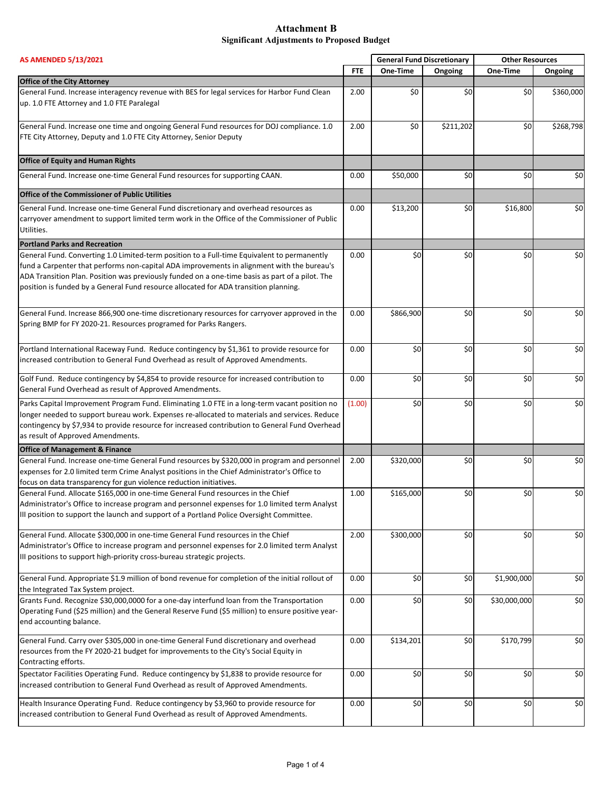| <b>AS AMENDED 5/13/2021</b>                                                                                                                                                                                                                                                                                                                                                          |            | <b>General Fund Discretionary</b> |           | <b>Other Resources</b> |           |
|--------------------------------------------------------------------------------------------------------------------------------------------------------------------------------------------------------------------------------------------------------------------------------------------------------------------------------------------------------------------------------------|------------|-----------------------------------|-----------|------------------------|-----------|
|                                                                                                                                                                                                                                                                                                                                                                                      | <b>FTE</b> | One-Time                          | Ongoing   | One-Time               | Ongoing   |
| <b>Office of the City Attorney</b>                                                                                                                                                                                                                                                                                                                                                   |            |                                   |           |                        |           |
| General Fund. Increase interagency revenue with BES for legal services for Harbor Fund Clean<br>up. 1.0 FTE Attorney and 1.0 FTE Paralegal                                                                                                                                                                                                                                           | 2.00       | \$0                               | \$0       | \$0                    | \$360,000 |
| General Fund. Increase one time and ongoing General Fund resources for DOJ compliance. 1.0<br>FTE City Attorney, Deputy and 1.0 FTE City Attorney, Senior Deputy                                                                                                                                                                                                                     | 2.00       | \$0                               | \$211,202 | \$0                    | \$268,798 |
| <b>Office of Equity and Human Rights</b>                                                                                                                                                                                                                                                                                                                                             |            |                                   |           |                        |           |
| General Fund. Increase one-time General Fund resources for supporting CAAN.                                                                                                                                                                                                                                                                                                          | 0.00       | \$50,000                          | \$0       | \$0                    | \$0       |
| Office of the Commissioner of Public Utilities                                                                                                                                                                                                                                                                                                                                       |            |                                   |           |                        |           |
| General Fund. Increase one-time General Fund discretionary and overhead resources as<br>carryover amendment to support limited term work in the Office of the Commissioner of Public<br>Utilities.                                                                                                                                                                                   | 0.00       | \$13,200                          | \$0       | \$16,800               | \$0       |
| <b>Portland Parks and Recreation</b>                                                                                                                                                                                                                                                                                                                                                 |            |                                   |           |                        |           |
| General Fund. Converting 1.0 Limited-term position to a Full-time Equivalent to permanently<br>fund a Carpenter that performs non-capital ADA improvements in alignment with the bureau's<br>ADA Transition Plan. Position was previously funded on a one-time basis as part of a pilot. The<br>position is funded by a General Fund resource allocated for ADA transition planning. | 0.00       | \$0                               | \$0       | \$0                    | \$0       |
| General Fund. Increase 866,900 one-time discretionary resources for carryover approved in the<br>Spring BMP for FY 2020-21. Resources programed for Parks Rangers.                                                                                                                                                                                                                   | 0.00       | \$866,900                         | \$0       | \$0                    | \$0       |
| Portland International Raceway Fund. Reduce contingency by \$1,361 to provide resource for<br>increased contribution to General Fund Overhead as result of Approved Amendments.                                                                                                                                                                                                      | 0.00       | \$0                               | \$0       | \$0                    | \$0       |
| Golf Fund. Reduce contingency by \$4,854 to provide resource for increased contribution to<br>General Fund Overhead as result of Approved Amendments.                                                                                                                                                                                                                                | 0.00       | \$0                               | \$0       | \$0                    | \$0       |
| Parks Capital Improvement Program Fund. Eliminating 1.0 FTE in a long-term vacant position no<br>longer needed to support bureau work. Expenses re-allocated to materials and services. Reduce<br>contingency by \$7,934 to provide resource for increased contribution to General Fund Overhead<br>as result of Approved Amendments.                                                | (1.00)     | \$0                               | \$0       | \$0                    | \$0       |
| <b>Office of Management &amp; Finance</b>                                                                                                                                                                                                                                                                                                                                            |            |                                   |           |                        |           |
| General Fund. Increase one-time General Fund resources by \$320,000 in program and personnel<br>expenses for 2.0 limited term Crime Analyst positions in the Chief Administrator's Office to<br>focus on data transparency for gun violence reduction initiatives.                                                                                                                   | 2.00       | \$320,000                         | \$0       | \$0                    | \$0       |
| General Fund. Allocate \$165,000 in one-time General Fund resources in the Chief<br>Administrator's Office to increase program and personnel expenses for 1.0 limited term Analyst<br>III position to support the launch and support of a Portland Police Oversight Committee.                                                                                                       | 1.00       | \$165,000                         | \$0       | \$0                    | \$0       |
| General Fund. Allocate \$300,000 in one-time General Fund resources in the Chief<br>Administrator's Office to increase program and personnel expenses for 2.0 limited term Analyst<br>III positions to support high-priority cross-bureau strategic projects.                                                                                                                        | 2.00       | \$300,000                         | \$0       | \$0                    | \$0       |
| General Fund. Appropriate \$1.9 million of bond revenue for completion of the initial rollout of<br>the Integrated Tax System project.                                                                                                                                                                                                                                               | 0.00       | \$0                               | \$0       | \$1,900,000            | \$0       |
| Grants Fund. Recognize \$30,000,0000 for a one-day interfund loan from the Transportation<br>Operating Fund (\$25 million) and the General Reserve Fund (\$5 million) to ensure positive year-<br>end accounting balance.                                                                                                                                                            | 0.00       | \$0                               | \$0       | \$30,000,000           | \$0       |
| General Fund. Carry over \$305,000 in one-time General Fund discretionary and overhead<br>resources from the FY 2020-21 budget for improvements to the City's Social Equity in<br>Contracting efforts.                                                                                                                                                                               | 0.00       | \$134,201                         | \$0       | \$170,799              | \$0       |
| Spectator Facilities Operating Fund. Reduce contingency by \$1,838 to provide resource for<br>increased contribution to General Fund Overhead as result of Approved Amendments.                                                                                                                                                                                                      | 0.00       | \$0                               | \$0       | \$0                    | \$0       |
| Health Insurance Operating Fund. Reduce contingency by \$3,960 to provide resource for<br>increased contribution to General Fund Overhead as result of Approved Amendments.                                                                                                                                                                                                          | 0.00       | \$0                               | \$0       | \$0                    | \$0       |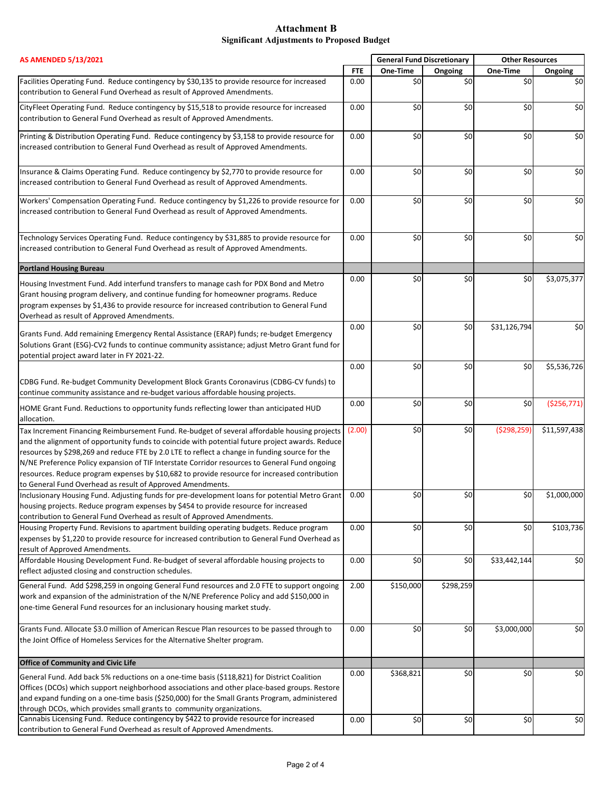| <b>AS AMENDED 5/13/2021</b>                                                                                                                                                                                                                                                                                                                                                                                                                                                                                                                                       |            | <b>General Fund Discretionary</b> |           | <b>Other Resources</b> |              |
|-------------------------------------------------------------------------------------------------------------------------------------------------------------------------------------------------------------------------------------------------------------------------------------------------------------------------------------------------------------------------------------------------------------------------------------------------------------------------------------------------------------------------------------------------------------------|------------|-----------------------------------|-----------|------------------------|--------------|
|                                                                                                                                                                                                                                                                                                                                                                                                                                                                                                                                                                   | <b>FTE</b> | One-Time                          | Ongoing   | One-Time               | Ongoing      |
| Facilities Operating Fund. Reduce contingency by \$30,135 to provide resource for increased<br>contribution to General Fund Overhead as result of Approved Amendments.                                                                                                                                                                                                                                                                                                                                                                                            | 0.00       | \$0                               | \$0       | \$0                    | \$0          |
| CityFleet Operating Fund. Reduce contingency by \$15,518 to provide resource for increased<br>contribution to General Fund Overhead as result of Approved Amendments.                                                                                                                                                                                                                                                                                                                                                                                             | 0.00       | \$0                               | \$0       | \$0                    | \$0          |
| Printing & Distribution Operating Fund. Reduce contingency by \$3,158 to provide resource for<br>increased contribution to General Fund Overhead as result of Approved Amendments.                                                                                                                                                                                                                                                                                                                                                                                | 0.00       | \$0                               | \$0       | \$0                    | \$0          |
| Insurance & Claims Operating Fund. Reduce contingency by \$2,770 to provide resource for<br>increased contribution to General Fund Overhead as result of Approved Amendments.                                                                                                                                                                                                                                                                                                                                                                                     | 0.00       | \$0                               | \$0       | \$0                    | \$0          |
| Workers' Compensation Operating Fund. Reduce contingency by \$1,226 to provide resource for<br>increased contribution to General Fund Overhead as result of Approved Amendments.                                                                                                                                                                                                                                                                                                                                                                                  | 0.00       | \$0                               | \$0       | \$0                    | \$0          |
| Technology Services Operating Fund. Reduce contingency by \$31,885 to provide resource for<br>increased contribution to General Fund Overhead as result of Approved Amendments.                                                                                                                                                                                                                                                                                                                                                                                   | 0.00       | \$0                               | \$0       | \$0                    | \$0          |
| <b>Portland Housing Bureau</b>                                                                                                                                                                                                                                                                                                                                                                                                                                                                                                                                    |            |                                   |           |                        |              |
| Housing Investment Fund. Add interfund transfers to manage cash for PDX Bond and Metro<br>Grant housing program delivery, and continue funding for homeowner programs. Reduce<br>program expenses by \$1,436 to provide resource for increased contribution to General Fund<br>Overhead as result of Approved Amendments.                                                                                                                                                                                                                                         | 0.00       | \$0                               | \$0       | \$0                    | \$3,075,377  |
| Grants Fund. Add remaining Emergency Rental Assistance (ERAP) funds; re-budget Emergency<br>Solutions Grant (ESG)-CV2 funds to continue community assistance; adjust Metro Grant fund for<br>potential project award later in FY 2021-22.                                                                                                                                                                                                                                                                                                                         | 0.00       | \$0                               | \$0       | \$31,126,794           | \$0          |
| CDBG Fund. Re-budget Community Development Block Grants Coronavirus (CDBG-CV funds) to                                                                                                                                                                                                                                                                                                                                                                                                                                                                            | 0.00       | \$0                               | \$0       | \$0                    | \$5,536,726  |
| continue community assistance and re-budget various affordable housing projects.                                                                                                                                                                                                                                                                                                                                                                                                                                                                                  |            |                                   |           |                        |              |
| HOME Grant Fund. Reductions to opportunity funds reflecting lower than anticipated HUD<br>allocation.                                                                                                                                                                                                                                                                                                                                                                                                                                                             | 0.00       | \$0                               | \$0       | \$0                    | ( \$256,771) |
| Tax Increment Financing Reimbursement Fund. Re-budget of several affordable housing projects<br>and the alignment of opportunity funds to coincide with potential future project awards. Reduce<br>resources by \$298,269 and reduce FTE by 2.0 LTE to reflect a change in funding source for the<br>N/NE Preference Policy expansion of TIF Interstate Corridor resources to General Fund ongoing<br>resources. Reduce program expenses by \$10,682 to provide resource for increased contribution<br>to General Fund Overhead as result of Approved Amendments. | (2.00)     | \$0                               | \$0       | ( \$298, 259)          | \$11,597,438 |
| Inclusionary Housing Fund. Adjusting funds for pre-development loans for potential Metro Grant<br>housing projects. Reduce program expenses by \$454 to provide resource for increased<br>contribution to General Fund Overhead as result of Approved Amendments.                                                                                                                                                                                                                                                                                                 | 0.00       | \$0                               | \$0       | \$0                    | \$1,000,000  |
| Housing Property Fund. Revisions to apartment building operating budgets. Reduce program<br>expenses by \$1,220 to provide resource for increased contribution to General Fund Overhead as<br>result of Approved Amendments.                                                                                                                                                                                                                                                                                                                                      | 0.00       | \$0                               | \$0       | \$0                    | \$103,736    |
| Affordable Housing Development Fund. Re-budget of several affordable housing projects to<br>reflect adjusted closing and construction schedules.                                                                                                                                                                                                                                                                                                                                                                                                                  | 0.00       | \$0                               | \$0       | \$33,442,144           | \$0          |
| General Fund. Add \$298,259 in ongoing General Fund resources and 2.0 FTE to support ongoing<br>work and expansion of the administration of the N/NE Preference Policy and add \$150,000 in<br>one-time General Fund resources for an inclusionary housing market study.                                                                                                                                                                                                                                                                                          | 2.00       | \$150,000                         | \$298,259 |                        |              |
| Grants Fund. Allocate \$3.0 million of American Rescue Plan resources to be passed through to<br>the Joint Office of Homeless Services for the Alternative Shelter program.                                                                                                                                                                                                                                                                                                                                                                                       | 0.00       | \$0                               | \$0       | \$3,000,000            | \$0          |
| <b>Office of Community and Civic Life</b>                                                                                                                                                                                                                                                                                                                                                                                                                                                                                                                         |            |                                   |           |                        |              |
| General Fund. Add back 5% reductions on a one-time basis (\$118,821) for District Coalition<br>Offices (DCOs) which support neighborhood associations and other place-based groups. Restore<br>and expand funding on a one-time basis (\$250,000) for the Small Grants Program, administered<br>through DCOs, which provides small grants to community organizations.                                                                                                                                                                                             | 0.00       | \$368,821                         | \$0       | \$0                    | \$0          |
| Cannabis Licensing Fund. Reduce contingency by \$422 to provide resource for increased<br>contribution to General Fund Overhead as result of Approved Amendments.                                                                                                                                                                                                                                                                                                                                                                                                 | 0.00       | \$0                               | \$0       | \$0                    | \$0          |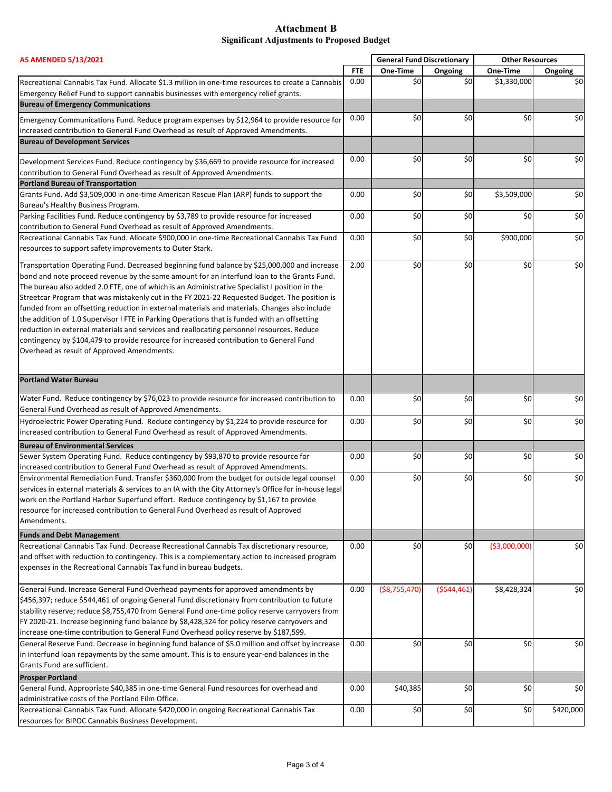| <b>AS AMENDED 5/13/2021</b>                                                                           |            | <b>General Fund Discretionary</b> |              | <b>Other Resources</b> |           |
|-------------------------------------------------------------------------------------------------------|------------|-----------------------------------|--------------|------------------------|-----------|
|                                                                                                       | <b>FTE</b> | One-Time                          | Ongoing      | One-Time               | Ongoing   |
| Recreational Cannabis Tax Fund. Allocate \$1.3 million in one-time resources to create a Cannabis     | 0.00       | \$0                               | \$0          | \$1,330,000            | \$0       |
| Emergency Relief Fund to support cannabis businesses with emergency relief grants.                    |            |                                   |              |                        |           |
| <b>Bureau of Emergency Communications</b>                                                             |            |                                   |              |                        |           |
| Emergency Communications Fund. Reduce program expenses by \$12,964 to provide resource for            | 0.00       | \$0                               | \$0          | \$0                    | \$0       |
| increased contribution to General Fund Overhead as result of Approved Amendments.                     |            |                                   |              |                        |           |
| <b>Bureau of Development Services</b>                                                                 |            |                                   |              |                        |           |
|                                                                                                       |            |                                   |              |                        |           |
| Development Services Fund. Reduce contingency by \$36,669 to provide resource for increased           | 0.00       | \$0                               | \$0          | \$0                    | \$0       |
| contribution to General Fund Overhead as result of Approved Amendments.                               |            |                                   |              |                        |           |
| <b>Portland Bureau of Transportation</b>                                                              |            |                                   |              |                        |           |
| Grants Fund. Add \$3,509,000 in one-time American Rescue Plan (ARP) funds to support the              | 0.00       | \$0                               | \$0          | \$3,509,000            | \$0       |
| Bureau's Healthy Business Program.                                                                    |            |                                   |              |                        |           |
| Parking Facilities Fund. Reduce contingency by \$3,789 to provide resource for increased              | 0.00       | \$0                               | \$0          | \$0                    | \$0       |
| contribution to General Fund Overhead as result of Approved Amendments.                               |            |                                   |              |                        |           |
| Recreational Cannabis Tax Fund. Allocate \$900,000 in one-time Recreational Cannabis Tax Fund         | 0.00       | \$0                               | \$0          | \$900,000              | \$0       |
| resources to support safety improvements to Outer Stark.                                              |            |                                   |              |                        |           |
| Transportation Operating Fund. Decreased beginning fund balance by \$25,000,000 and increase          | 2.00       | \$0                               | \$0          | \$0                    | \$0       |
| bond and note proceed revenue by the same amount for an interfund loan to the Grants Fund.            |            |                                   |              |                        |           |
| The bureau also added 2.0 FTE, one of which is an Administrative Specialist I position in the         |            |                                   |              |                        |           |
| Streetcar Program that was mistakenly cut in the FY 2021-22 Requested Budget. The position is         |            |                                   |              |                        |           |
| funded from an offsetting reduction in external materials and materials. Changes also include         |            |                                   |              |                        |           |
| the addition of 1.0 Supervisor I FTE in Parking Operations that is funded with an offsetting          |            |                                   |              |                        |           |
| reduction in external materials and services and reallocating personnel resources. Reduce             |            |                                   |              |                        |           |
| contingency by \$104,479 to provide resource for increased contribution to General Fund               |            |                                   |              |                        |           |
| Overhead as result of Approved Amendments.                                                            |            |                                   |              |                        |           |
|                                                                                                       |            |                                   |              |                        |           |
| <b>Portland Water Bureau</b>                                                                          |            |                                   |              |                        |           |
|                                                                                                       |            |                                   |              |                        |           |
| Water Fund. Reduce contingency by \$76,023 to provide resource for increased contribution to          | 0.00       | \$0                               | \$0          | \$0                    | \$0       |
| General Fund Overhead as result of Approved Amendments.                                               |            |                                   |              |                        |           |
| Hydroelectric Power Operating Fund. Reduce contingency by \$1,224 to provide resource for             | 0.00       | \$0                               | \$0          | \$0                    | \$0       |
| increased contribution to General Fund Overhead as result of Approved Amendments.                     |            |                                   |              |                        |           |
| <b>Bureau of Environmental Services</b>                                                               |            |                                   |              |                        |           |
| Sewer System Operating Fund. Reduce contingency by \$93,870 to provide resource for                   | 0.00       | \$0                               | \$0          | \$0                    | \$0       |
| increased contribution to General Fund Overhead as result of Approved Amendments.                     |            |                                   |              |                        |           |
| Environmental Remediation Fund. Transfer \$360,000 from the budget for outside legal counsel          | 0.00       | \$0                               | \$0          | \$0                    | \$0       |
| services in external materials & services to an IA with the City Attorney's Office for in-house legal |            |                                   |              |                        |           |
| work on the Portland Harbor Superfund effort. Reduce contingency by \$1,167 to provide                |            |                                   |              |                        |           |
| resource for increased contribution to General Fund Overhead as result of Approved                    |            |                                   |              |                        |           |
| Amendments.                                                                                           |            |                                   |              |                        |           |
| <b>Funds and Debt Management</b>                                                                      |            |                                   |              |                        |           |
| Recreational Cannabis Tax Fund. Decrease Recreational Cannabis Tax discretionary resource,            | 0.00       | \$0                               | \$0          | ( \$3,000,000)         | \$0       |
| and offset with reduction to contingency. This is a complementary action to increased program         |            |                                   |              |                        |           |
| expenses in the Recreational Cannabis Tax fund in bureau budgets.                                     |            |                                   |              |                        |           |
|                                                                                                       |            |                                   |              |                        |           |
| General Fund. Increase General Fund Overhead payments for approved amendments by                      | 0.00       | ( \$8,755,470)                    | ( \$544,461) | \$8,428,324            | \$0       |
| \$456,397; reduce \$544,461 of ongoing General Fund discretionary from contribution to future         |            |                                   |              |                        |           |
| stability reserve; reduce \$8,755,470 from General Fund one-time policy reserve carryovers from       |            |                                   |              |                        |           |
| FY 2020-21. Increase beginning fund balance by \$8,428,324 for policy reserve carryovers and          |            |                                   |              |                        |           |
| increase one-time contribution to General Fund Overhead policy reserve by \$187,599.                  |            |                                   |              |                        |           |
| General Reserve Fund. Decrease in beginning fund balance of \$5.0 million and offset by increase      | 0.00       | \$0                               | \$0          | \$0                    | \$0       |
| in interfund loan repayments by the same amount. This is to ensure year-end balances in the           |            |                                   |              |                        |           |
| Grants Fund are sufficient.                                                                           |            |                                   |              |                        |           |
| <b>Prosper Portland</b>                                                                               |            |                                   |              |                        |           |
| General Fund. Appropriate \$40,385 in one-time General Fund resources for overhead and                | 0.00       | \$40,385                          | \$0          | \$0                    | \$0       |
| administrative costs of the Portland Film Office.                                                     |            |                                   |              |                        |           |
| Recreational Cannabis Tax Fund. Allocate \$420,000 in ongoing Recreational Cannabis Tax               | 0.00       | \$0                               | \$0          | \$0                    | \$420,000 |
| resources for BIPOC Cannabis Business Development.                                                    |            |                                   |              |                        |           |